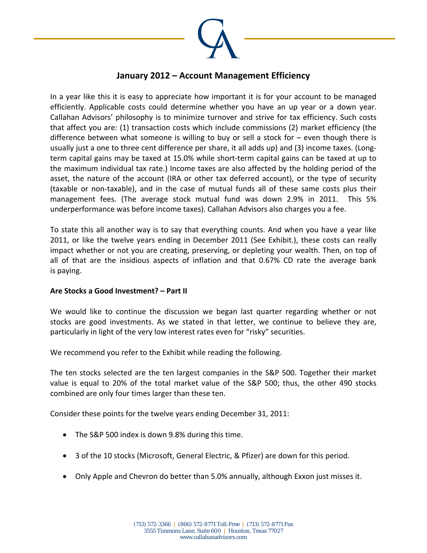

## **January 2012 – Account Management Efficiency**

In a year like this it is easy to appreciate how important it is for your account to be managed efficiently. Applicable costs could determine whether you have an up year or a down year. Callahan Advisors' philosophy is to minimize turnover and strive for tax efficiency. Such costs that affect you are: (1) transaction costs which include commissions (2) market efficiency (the difference between what someone is willing to buy or sell a stock for – even though there is usually just a one to three cent difference per share, it all adds up) and (3) income taxes. (Long‐ term capital gains may be taxed at 15.0% while short‐term capital gains can be taxed at up to the maximum individual tax rate.) Income taxes are also affected by the holding period of the asset, the nature of the account (IRA or other tax deferred account), or the type of security (taxable or non‐taxable), and in the case of mutual funds all of these same costs plus their management fees. (The average stock mutual fund was down 2.9% in 2011. This 5% underperformance was before income taxes). Callahan Advisors also charges you a fee.

To state this all another way is to say that everything counts. And when you have a year like 2011, or like the twelve years ending in December 2011 (See Exhibit.), these costs can really impact whether or not you are creating, preserving, or depleting your wealth. Then, on top of all of that are the insidious aspects of inflation and that 0.67% CD rate the average bank is paying.

## **Are Stocks a Good Investment? – Part II**

We would like to continue the discussion we began last quarter regarding whether or not stocks are good investments. As we stated in that letter, we continue to believe they are, particularly in light of the very low interest rates even for "risky" securities.

We recommend you refer to the Exhibit while reading the following.

The ten stocks selected are the ten largest companies in the S&P 500. Together their market value is equal to 20% of the total market value of the S&P 500; thus, the other 490 stocks combined are only four times larger than these ten.

Consider these points for the twelve years ending December 31, 2011:

- The S&P 500 index is down 9.8% during this time.
- 3 of the 10 stocks (Microsoft, General Electric, & Pfizer) are down for this period.
- Only Apple and Chevron do better than 5.0% annually, although Exxon just misses it.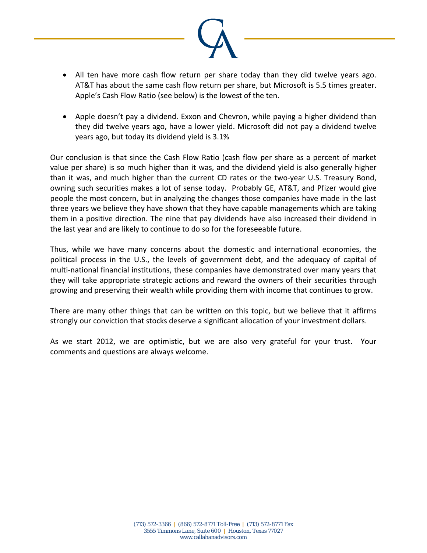

- All ten have more cash flow return per share today than they did twelve years ago. AT&T has about the same cash flow return per share, but Microsoft is 5.5 times greater. Apple's Cash Flow Ratio (see below) is the lowest of the ten.
- Apple doesn't pay a dividend. Exxon and Chevron, while paying a higher dividend than they did twelve years ago, have a lower yield. Microsoft did not pay a dividend twelve years ago, but today its dividend yield is 3.1%

Our conclusion is that since the Cash Flow Ratio (cash flow per share as a percent of market value per share) is so much higher than it was, and the dividend yield is also generally higher than it was, and much higher than the current CD rates or the two‐year U.S. Treasury Bond, owning such securities makes a lot of sense today. Probably GE, AT&T, and Pfizer would give people the most concern, but in analyzing the changes those companies have made in the last three years we believe they have shown that they have capable managements which are taking them in a positive direction. The nine that pay dividends have also increased their dividend in the last year and are likely to continue to do so for the foreseeable future.

Thus, while we have many concerns about the domestic and international economies, the political process in the U.S., the levels of government debt, and the adequacy of capital of multi-national financial institutions, these companies have demonstrated over many years that they will take appropriate strategic actions and reward the owners of their securities through growing and preserving their wealth while providing them with income that continues to grow.

There are many other things that can be written on this topic, but we believe that it affirms strongly our conviction that stocks deserve a significant allocation of your investment dollars.

As we start 2012, we are optimistic, but we are also very grateful for your trust. Your comments and questions are always welcome.